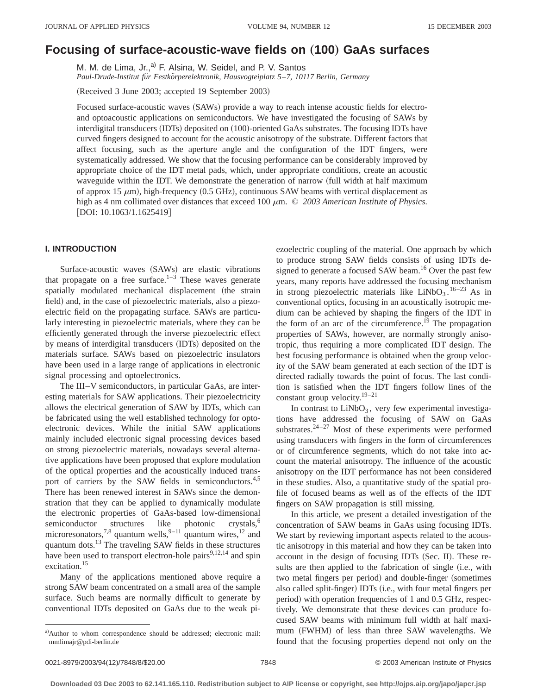# **Focusing of surface-acoustic-wave fields on** "**100**… **GaAs surfaces**

M. M. de Lima, Jr.,<sup>a)</sup> F. Alsina, W. Seidel, and P. V. Santos *Paul-Drude-Institut fu¨r Festko¨rperelektronik, Hausvogteiplatz 5*–*7, 10117 Berlin, Germany*

(Received 3 June 2003; accepted 19 September 2003)

Focused surface-acoustic waves (SAWs) provide a way to reach intense acoustic fields for electroand optoacoustic applications on semiconductors. We have investigated the focusing of SAWs by interdigital transducers (IDTs) deposited on (100)-oriented GaAs substrates. The focusing IDTs have curved fingers designed to account for the acoustic anisotropy of the substrate. Different factors that affect focusing, such as the aperture angle and the configuration of the IDT fingers, were systematically addressed. We show that the focusing performance can be considerably improved by appropriate choice of the IDT metal pads, which, under appropriate conditions, create an acoustic waveguide within the IDT. We demonstrate the generation of narrow (full width at half maximum of approx 15  $\mu$ m), high-frequency (0.5 GHz), continuous SAW beams with vertical displacement as high as 4 nm collimated over distances that exceed 100  $\mu$ m. © 2003 American Institute of Physics. [DOI: 10.1063/1.1625419]

# **I. INTRODUCTION**

Surface-acoustic waves (SAWs) are elastic vibrations that propagate on a free surface. $1-3$  These waves generate spatially modulated mechanical displacement (the strain field) and, in the case of piezoelectric materials, also a piezoelectric field on the propagating surface. SAWs are particularly interesting in piezoelectric materials, where they can be efficiently generated through the inverse piezoelectric effect by means of interdigital transducers (IDTs) deposited on the materials surface. SAWs based on piezoelectric insulators have been used in a large range of applications in electronic signal processing and optoelectronics.

The III–V semiconductors, in particular GaAs, are interesting materials for SAW applications. Their piezoelectricity allows the electrical generation of SAW by IDTs, which can be fabricated using the well established technology for optoelectronic devices. While the initial SAW applications mainly included electronic signal processing devices based on strong piezoelectric materials, nowadays several alternative applications have been proposed that explore modulation of the optical properties and the acoustically induced transport of carriers by the SAW fields in semiconductors.<sup>4,5</sup> There has been renewed interest in SAWs since the demonstration that they can be applied to dynamically modulate the electronic properties of GaAs-based low-dimensional semiconductor structures like photonic crystals,<sup>6</sup> semiconductor structures like photonic crystals,<sup>6</sup> microresonators,<sup>7,8</sup> quantum wells,<sup>9–11</sup> quantum wires,<sup>12</sup> and quantum dots.13 The traveling SAW fields in these structures have been used to transport electron-hole pairs $9,12,14$  and spin excitation.15

Many of the applications mentioned above require a strong SAW beam concentrated on a small area of the sample surface. Such beams are normally difficult to generate by conventional IDTs deposited on GaAs due to the weak piezoelectric coupling of the material. One approach by which to produce strong SAW fields consists of using IDTs designed to generate a focused SAW beam.<sup>16</sup> Over the past few years, many reports have addressed the focusing mechanism in strong piezoelectric materials like  $LiNbO<sub>3</sub>$ . <sup>16–23</sup> As in conventional optics, focusing in an acoustically isotropic medium can be achieved by shaping the fingers of the IDT in the form of an arc of the circumference.<sup> $19$ </sup> The propagation properties of SAWs, however, are normally strongly anisotropic, thus requiring a more complicated IDT design. The best focusing performance is obtained when the group velocity of the SAW beam generated at each section of the IDT is directed radially towards the point of focus. The last condition is satisfied when the IDT fingers follow lines of the constant group velocity.<sup>19–21</sup>

In contrast to  $LiNbO<sub>3</sub>$ , very few experimental investigations have addressed the focusing of SAW on GaAs substrates. $24-27$  Most of these experiments were performed using transducers with fingers in the form of circumferences or of circumference segments, which do not take into account the material anisotropy. The influence of the acoustic anisotropy on the IDT performance has not been considered in these studies. Also, a quantitative study of the spatial profile of focused beams as well as of the effects of the IDT fingers on SAW propagation is still missing.

In this article, we present a detailed investigation of the concentration of SAW beams in GaAs using focusing IDTs. We start by reviewing important aspects related to the acoustic anisotropy in this material and how they can be taken into account in the design of focusing IDTs (Sec. II). These results are then applied to the fabrication of single (i.e., with two metal fingers per period) and double-finger (sometimes also called split-finger) IDTs (i.e., with four metal fingers per period) with operation frequencies of 1 and 0.5 GHz, respectively. We demonstrate that these devices can produce focused SAW beams with minimum full width at half maximum (FWHM) of less than three SAW wavelengths. We found that the focusing properties depend not only on the

a)Author to whom correspondence should be addressed; electronic mail: mmlimajr@pdi-berlin.de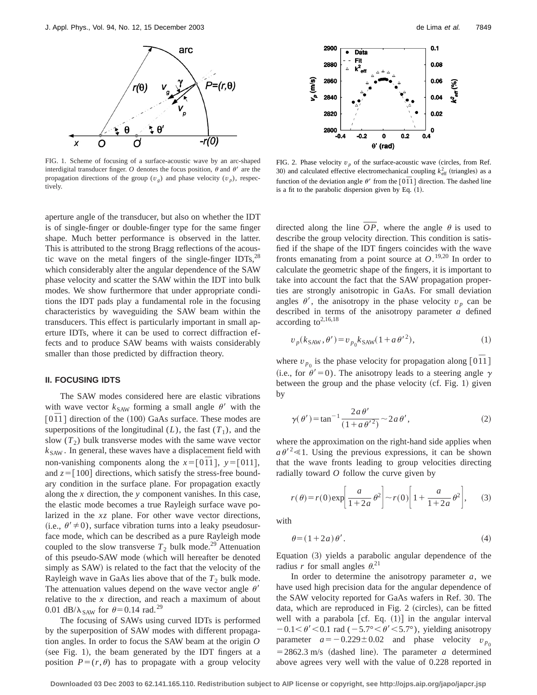

FIG. 1. Scheme of focusing of a surface-acoustic wave by an arc-shaped interdigital transducer finger.  $O$  denotes the focus position,  $\theta$  and  $\theta'$  are the propagation directions of the group  $(v_g)$  and phase velocity  $(v_g)$ , respectively.

aperture angle of the transducer, but also on whether the IDT is of single-finger or double-finger type for the same finger shape. Much better performance is observed in the latter. This is attributed to the strong Bragg reflections of the acoustic wave on the metal fingers of the single-finger IDTs, $^{28}$ which considerably alter the angular dependence of the SAW phase velocity and scatter the SAW within the IDT into bulk modes. We show furthermore that under appropriate conditions the IDT pads play a fundamental role in the focusing characteristics by waveguiding the SAW beam within the transducers. This effect is particularly important in small aperture IDTs, where it can be used to correct diffraction effects and to produce SAW beams with waists considerably smaller than those predicted by diffraction theory.

# **II. FOCUSING IDTS**

The SAW modes considered here are elastic vibrations with wave vector  $k_{SAW}$  forming a small angle  $\theta'$  with the  $\lceil 0\bar{1}1 \rceil$  direction of the (100) GaAs surface. These modes are superpositions of the longitudinal  $(L)$ , the fast  $(T_1)$ , and the slow  $(T_2)$  bulk transverse modes with the same wave vector  $k_{SAW}$ . In general, these waves have a displacement field with non-vanishing components along the  $x=[0\overline{1}1]$ ,  $y=[011]$ , and  $z=[100]$  directions, which satisfy the stress-free boundary condition in the surface plane. For propagation exactly along the *x* direction, the *y* component vanishes. In this case, the elastic mode becomes a true Rayleigh surface wave polarized in the *xz* plane. For other wave vector directions, (i.e.,  $\theta' \neq 0$ ), surface vibration turns into a leaky pseudosurface mode, which can be described as a pure Rayleigh mode coupled to the slow transverse  $T_2$  bulk mode.<sup>29</sup> Attenuation of this pseudo-SAW mode (which will hereafter be denoted simply as SAW) is related to the fact that the velocity of the Rayleigh wave in GaAs lies above that of the  $T_2$  bulk mode. The attenuation values depend on the wave vector angle  $\theta'$ relative to the *x* direction, and reach a maximum of about 0.01 dB/ $\lambda_{SAW}$  for  $\theta$ =0.14 rad.<sup>29</sup>

The focusing of SAWs using curved IDTs is performed by the superposition of SAW modes with different propagation angles. In order to focus the SAW beam at the origin *O* (see Fig. 1), the beam generated by the IDT fingers at a position  $P=(r,\theta)$  has to propagate with a group velocity



FIG. 2. Phase velocity  $v_p$  of the surface-acoustic wave (circles, from Ref. 30) and calculated effective electromechanical coupling  $k_{\text{eff}}^2$  (triangles) as a function of the deviation angle  $\theta'$  from the  $\lceil 0\bar{1}1 \rceil$  direction. The dashed line is a fit to the parabolic dispersion given by Eq.  $(1)$ .

directed along the line  $OP$ , where the angle  $\theta$  is used to describe the group velocity direction. This condition is satisfied if the shape of the IDT fingers coincides with the wave fronts emanating from a point source at  $O^{19,20}$  In order to calculate the geometric shape of the fingers, it is important to take into account the fact that the SAW propagation properties are strongly anisotropic in GaAs. For small deviation angles  $\theta'$ , the anisotropy in the phase velocity  $v_p$  can be described in terms of the anisotropy parameter *a* defined according to $^{2,16,18}$ 

$$
v_p(k_{\text{SAW}}, \theta') = v_{p_0} k_{\text{SAW}} (1 + a \theta'^2), \tag{1}
$$

where  $v_{p_0}$  is the phase velocity for propagation along [0 $\overline{1}1$ ] (i.e., for  $\theta' = 0$ ). The anisotropy leads to a steering angle  $\gamma$ between the group and the phase velocity  $(cf. Fig. 1)$  given by

$$
\gamma(\theta') = \tan^{-1} \frac{2a\,\theta'}{(1+a\,\theta'^2)} \sim 2a\,\theta',\tag{2}
$$

where the approximation on the right-hand side applies when  $a \theta^2 \ll 1$ . Using the previous expressions, it can be shown that the wave fronts leading to group velocities directing radially toward *O* follow the curve given by

$$
r(\theta) = r(0) \exp\left[\frac{a}{1+2a} \theta^2\right] \sim r(0) \left[1 + \frac{a}{1+2a} \theta^2\right], \quad (3)
$$

with

$$
\theta = (1 + 2a)\,\theta'.
$$

Equation  $(3)$  yields a parabolic angular dependence of the radius *r* for small angles  $\theta$ <sup>21</sup>

In order to determine the anisotropy parameter *a*, we have used high precision data for the angular dependence of the SAW velocity reported for GaAs wafers in Ref. 30. The data, which are reproduced in Fig. 2 (circles), can be fitted well with a parabola [cf. Eq.  $(1)$ ] in the angular interval  $-0.1<\theta'<0.1$  rad ( $-5.7^{\circ}<\theta'<5.7^{\circ}$ ), yielding anisotropy parameter  $a = -0.229 \pm 0.02$  and phase velocity  $v_{p_0}$  $=$  2862.3 m/s (dashed line). The parameter *a* determined above agrees very well with the value of 0.228 reported in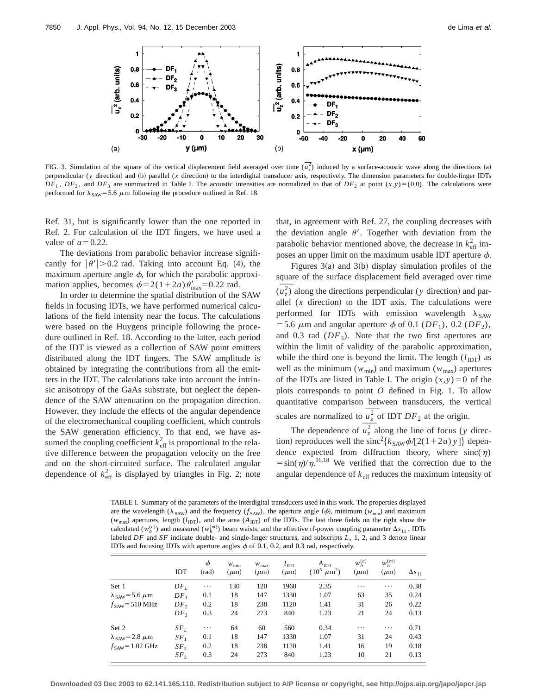

FIG. 3. Simulation of the square of the vertical displacement field averaged over time  $(\overline{u}_z^2)$  induced by a surface-acoustic wave along the directions (a) perpendicular (*y* direction) and (b) parallel (*x* direction) to the interdigital transducer axis, respectively. The dimension parameters for double-finger IDTs  $DF_1$ ,  $DF_2$ , and  $DF_3$  are summarized in Table I. The acoustic intensities are normalized to that of  $DF_2$  at point  $(x,y)=(0,0)$ . The calculations were performed for  $\lambda_{SAW}$ = 5.6  $\mu$ m following the procedure outlined in Ref. 18.

Ref. 31, but is significantly lower than the one reported in Ref. 2. For calculation of the IDT fingers, we have used a value of  $a=0.22$ .

The deviations from parabolic behavior increase significantly for  $|\theta'| > 0.2$  rad. Taking into account Eq. (4), the maximum aperture angle  $\phi$ , for which the parabolic approximation applies, becomes  $\phi=2(1+2a)\theta'_{\text{max}}=0.22$  rad.

In order to determine the spatial distribution of the SAW fields in focusing IDTs, we have performed numerical calculations of the field intensity near the focus. The calculations were based on the Huygens principle following the procedure outlined in Ref. 18. According to the latter, each period of the IDT is viewed as a collection of SAW point emitters distributed along the IDT fingers. The SAW amplitude is obtained by integrating the contributions from all the emitters in the IDT. The calculations take into account the intrinsic anisotropy of the GaAs substrate, but neglect the dependence of the SAW attenuation on the propagation direction. However, they include the effects of the angular dependence of the electromechanical coupling coefficient, which controls the SAW generation efficiency. To that end, we have assumed the coupling coefficient  $k_{\text{eff}}^2$  is proportional to the relative difference between the propagation velocity on the free and on the short-circuited surface. The calculated angular dependence of  $k_{\text{eff}}^2$  is displayed by triangles in Fig. 2; note that, in agreement with Ref. 27, the coupling decreases with the deviation angle  $\theta'$ . Together with deviation from the parabolic behavior mentioned above, the decrease in  $k_{\text{eff}}^2$  imposes an upper limit on the maximum usable IDT aperture  $\phi$ .

Figures  $3(a)$  and  $3(b)$  display simulation profiles of the square of the surface displacement field averaged over time  $(\overline{u_z^2})$  along the directions perpendicular (*y* direction) and par- $(u<sub>z</sub><sup>2</sup>)$  along the directions perpendicular (*y* direction) and parallel  $(x$  direction) to the IDT axis. The calculations were performed for IDTs with emission wavelength  $\lambda_{SAW}$ = 5.6  $\mu$ m and angular aperture  $\phi$  of 0.1 (*DF*<sub>1</sub>), 0.2 (*DF*<sub>2</sub>), and 0.3 rad  $(DF_3)$ . Note that the two first apertures are within the limit of validity of the parabolic approximation, while the third one is beyond the limit. The length  $(l_{\text{IDT}})$  as well as the minimum ( $w_{min}$ ) and maximum ( $w_{max}$ ) apertures of the IDTs are listed in Table I. The origin  $(x, y) = 0$  of the plots corresponds to point *O* defined in Fig. 1. To allow quantitative comparison between transducers, the vertical scales are normalized to  $\overline{u_2^2}$  of IDT  $DF_2$  at the origin.

The dependence of  $\overline{u_2^2}$  along the line of focus (*y* direction) reproduces well the  $\sin^2{k_{\text{SAW}}\phi/[2(1+2a) y]}$  dependence expected from diffraction theory, where  $sinc(\eta)$  $=\sin(\eta)/\eta^{16,18}$  We verified that the correction due to the angular dependence of  $k<sub>eff</sub>$  reduces the maximum intensity of

TABLE I. Summary of the parameters of the interdigital transducers used in this work. The properties displayed are the wavelength ( $\lambda_{SAW}$ ) and the frequency ( $f_{SAW}$ ), the aperture angle ( $\phi$ ), minimum ( $w_{min}$ ) and maximum  $(w<sub>max</sub>)$  apertures, length  $(l<sub>IDT</sub>)$ , and the area  $(A<sub>IDT</sub>)$  of the IDTs. The last three fields on the right show the calculated  $(w_b^{(c)})$  and measured  $(w_b^{(m)})$  beam waists, and the effective rf-power coupling parameter  $\Delta s_{11}$ . IDTs labeled *DF* and *SF* indicate double- and single-finger structures, and subscripts *L*, 1, 2, and 3 denote linear IDTs and focusing IDTs with aperture angles  $\phi$  of 0.1, 0.2, and 0.3 rad, respectively.

|                                        | <b>IDT</b>      | $\phi$<br>(rad) | $W_{\text{min}}$<br>$(\mu m)$ | $W_{\text{max}}$<br>$(\mu m)$ | $l_{\text{IDT}}$<br>$(\mu m)$ | $A_{\text{IDT}}$<br>$\mu$ m <sup>2</sup> )<br>$(10^5$ | $w_b^{(c)}$<br>$(\mu m)$ | $w_b^{(m)}$<br>$(\mu m)$ | $\Delta s_{11}$ |
|----------------------------------------|-----------------|-----------------|-------------------------------|-------------------------------|-------------------------------|-------------------------------------------------------|--------------------------|--------------------------|-----------------|
| Set 1                                  | $DF_L$          | $\cdots$        | 130                           | 120                           | 1960                          | 2.35                                                  | $\cdots$                 | $\cdots$                 | 0.38            |
| $\lambda$ <sub>SAW</sub> = 5.6 $\mu$ m | $DF_1$          | 0.1             | 18                            | 147                           | 1330                          | 1.07                                                  | 63                       | 35                       | 0.24            |
| $f_{SAW} = 510 \text{ MHz}$            | DF <sub>2</sub> | 0.2             | 18                            | 238                           | 1120                          | 1.41                                                  | 31                       | 26                       | 0.22            |
|                                        | DF <sub>3</sub> | 0.3             | 24                            | 273                           | 840                           | 1.23                                                  | 21                       | 24                       | 0.13            |
| Set 2                                  | SF <sub>L</sub> | $\cdots$        | 64                            | 60                            | 560                           | 0.34                                                  | $\cdots$                 | $\cdots$                 | 0.71            |
| $\lambda_{SAW} = 2.8 \ \mu m$          | SF <sub>1</sub> | 0.1             | 18                            | 147                           | 1330                          | 1.07                                                  | 31                       | 24                       | 0.43            |
| $fSAW=1.02 \text{ GHz}$                | SF <sub>2</sub> | 0.2             | 18                            | 238                           | 1120                          | 1.41                                                  | 16                       | 19                       | 0.18            |
|                                        | SF <sub>3</sub> | 0.3             | 24                            | 273                           | 840                           | 1.23                                                  | 10                       | 21                       | 0.13            |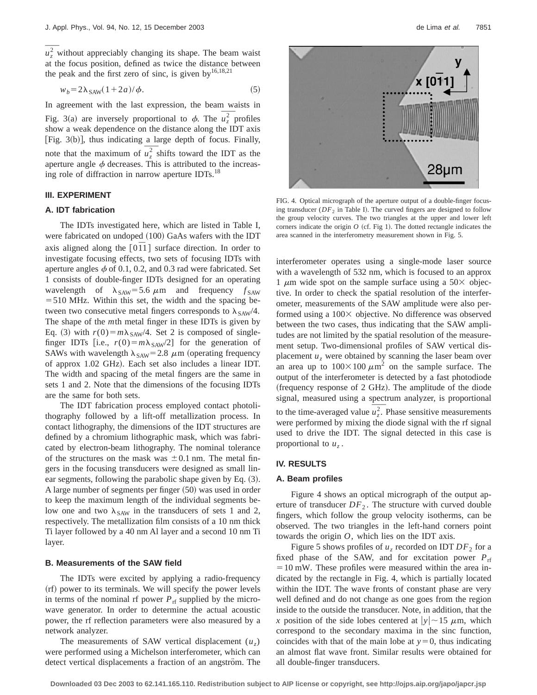$\overline{u}_z^2$  without appreciably changing its shape. The beam waist at the focus position, defined as twice the distance between the peak and the first zero of sinc, is given by  $16,18,21$ 

$$
w_b = 2\lambda_{SAW}(1 + 2a)/\phi.
$$
 (5)

In agreement with the last expression, the beam waists in Fig. 3(a) are inversely proportional to  $\phi$ . The  $u_z^2$  profiles show a weak dependence on the distance along the IDT axis [Fig.  $3(b)$ ], thus indicating a large depth of focus. Finally, note that the maximum of  $u_z^2$  shifts toward the IDT as the aperture angle  $\phi$  decreases. This is attributed to the increasing role of diffraction in narrow aperture IDTs.<sup>18</sup>

## **III. EXPERIMENT**

#### **A. IDT fabrication**

The IDTs investigated here, which are listed in Table I, were fabricated on undoped (100) GaAs wafers with the IDT axis aligned along the  $[0\bar{1}1]$  surface direction. In order to investigate focusing effects, two sets of focusing IDTs with aperture angles  $\phi$  of 0.1, 0.2, and 0.3 rad were fabricated. Set 1 consists of double-finger IDTs designed for an operating wavelength of  $\lambda_{SAW}$ =5.6  $\mu$ m and frequency  $f_{SAW}$  $=$  510 MHz. Within this set, the width and the spacing between two consecutive metal fingers corresponds to  $\lambda_{SAW}/4$ . The shape of the *m*th metal finger in these IDTs is given by Eq. (3) with  $r(0) = m\lambda_{SAW}/4$ . Set 2 is composed of singlefinger IDTs [i.e.,  $r(0) = m\lambda_{SAW}/2$ ] for the generation of SAWs with wavelength  $\lambda_{SAW}$ = 2.8  $\mu$ m (operating frequency of approx 1.02 GHz). Each set also includes a linear IDT. The width and spacing of the metal fingers are the same in sets 1 and 2. Note that the dimensions of the focusing IDTs are the same for both sets.

The IDT fabrication process employed contact photolithography followed by a lift-off metallization process. In contact lithography, the dimensions of the IDT structures are defined by a chromium lithographic mask, which was fabricated by electron-beam lithography. The nominal tolerance of the structures on the mask was  $\pm 0.1$  nm. The metal fingers in the focusing transducers were designed as small linear segments, following the parabolic shape given by Eq.  $(3)$ . A large number of segments per finger  $(50)$  was used in order to keep the maximum length of the individual segments below one and two  $\lambda_{SAW}$  in the transducers of sets 1 and 2, respectively. The metallization film consists of a 10 nm thick Ti layer followed by a 40 nm Al layer and a second 10 nm Ti layer.

### **B. Measurements of the SAW field**

The IDTs were excited by applying a radio-frequency (rf) power to its terminals. We will specify the power levels in terms of the nominal rf power  $P_{\text{rf}}$  supplied by the microwave generator. In order to determine the actual acoustic power, the rf reflection parameters were also measured by a network analyzer.

The measurements of SAW vertical displacement  $(u_7)$ were performed using a Michelson interferometer, which can detect vertical displacements a fraction of an angström. The



FIG. 4. Optical micrograph of the aperture output of a double-finger focusing transducer ( $DF_2$  in Table I). The curved fingers are designed to follow the group velocity curves. The two triangles at the upper and lower left corners indicate the origin  $O$  (cf. Fig 1). The dotted rectangle indicates the area scanned in the interferometry measurement shown in Fig. 5.

interferometer operates using a single-mode laser source with a wavelength of 532 nm, which is focused to an approx 1  $\mu$ m wide spot on the sample surface using a 50 $\times$  objective. In order to check the spatial resolution of the interferometer, measurements of the SAW amplitude were also performed using a  $100 \times$  objective. No difference was observed between the two cases, thus indicating that the SAW amplitudes are not limited by the spatial resolution of the measurement setup. Two-dimensional profiles of SAW vertical displacement  $u<sub>z</sub>$  were obtained by scanning the laser beam over an area up to  $100 \times 100 \ \mu \text{m}^2$  on the sample surface. The output of the interferometer is detected by a fast photodiode (frequency response of  $2$  GHz). The amplitude of the diode signal, measured using a spectrum analyzer, is proportional signal, measured using a spectrum analyzer, is proportional<br>to the time-averaged value  $\overline{u_z^2}$ . Phase sensitive measurements were performed by mixing the diode signal with the rf signal used to drive the IDT. The signal detected in this case is proportional to  $u<sub>z</sub>$ .

## **IV. RESULTS**

#### **A. Beam profiles**

Figure 4 shows an optical micrograph of the output aperture of transducer  $DF_2$ . The structure with curved double fingers, which follow the group velocity isotherms, can be observed. The two triangles in the left-hand corners point towards the origin *O*, which lies on the IDT axis.

Figure 5 shows profiles of  $u_z$  recorded on IDT  $DF_2$  for a fixed phase of the SAW, and for excitation power  $P_{\text{rf}}$  $=10$  mW. These profiles were measured within the area indicated by the rectangle in Fig. 4, which is partially located within the IDT. The wave fronts of constant phase are very well defined and do not change as one goes from the region inside to the outside the transducer. Note, in addition, that the *x* position of the side lobes centered at  $|y| \sim 15 \mu$ m, which correspond to the secondary maxima in the sinc function, coincides with that of the main lobe at  $y=0$ , thus indicating an almost flat wave front. Similar results were obtained for all double-finger transducers.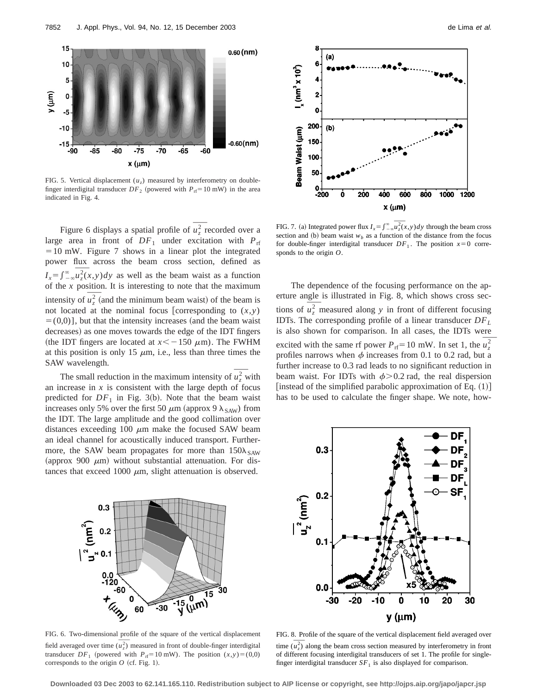

FIG. 5. Vertical displacement  $(u<sub>z</sub>)$  measured by interferometry on doublefinger interdigital transducer  $DF_2$  (powered with  $P_{\text{rf}} = 10 \text{ mW}$ ) in the area indicated in Fig. 4.

Figure 6 displays a spatial profile of  $u^2$  recorded over a large area in front of  $DF_1$  under excitation with  $P_{\text{rf}}$  $=10$  mW. Figure 7 shows in a linear plot the integrated power flux across the beam cross section, defined as power flux across the beam cross section, defined as  $I_x = \int_{-\infty}^{\infty} u_x^2(x, y) dy$  as well as the beam waist as a function of the *x* position. It is interesting to note that the maximum<br>intensity of  $\overline{u_z^2}$  (and the minimum beam waist) of the beam is not located at the nominal focus [corresponding to  $(x, y)$ ]  $= (0,0)$ ], but that the intensity increases (and the beam waist decreases) as one moves towards the edge of the IDT fingers (the IDT fingers are located at  $x < -150 \mu$ m). The FWHM at this position is only 15  $\mu$ m, i.e., less than three times the SAW wavelength.

The small reduction in the maximum intensity of  $u^2$ , with an increase in  $x$  is consistent with the large depth of focus predicted for  $DF_1$  in Fig. 3(b). Note that the beam waist increases only 5% over the first 50  $\mu$ m (approx 9  $\lambda$ <sub>SAW</sub>) from the IDT. The large amplitude and the good collimation over distances exceeding 100  $\mu$ m make the focused SAW beam an ideal channel for acoustically induced transport. Furthermore, the SAW beam propagates for more than  $150\lambda_{SAW}$ (approx 900  $\mu$ m) without substantial attenuation. For distances that exceed 1000  $\mu$ m, slight attenuation is observed.



section and (b) beam waist  $w<sub>b</sub>$  as a function of the distance from the focus for double-finger interdigital transducer  $DF_1$ . The position  $x=0$  corresponds to the origin *O*.

The dependence of the focusing performance on the aperture angle is illustrated in Fig. 8, which shows cross sections of  $u^2$ , measured along *y* in front of different focusing IDTs. The corresponding profile of a linear transducer *DFL* is also shown for comparison. In all cases, the IDTs were excited with the same rf power  $P_{\text{rf}} = 10 \text{ mW}$ . In set 1, the  $u^2$ profiles narrows when  $\phi$  increases from 0.1 to 0.2 rad, but a further increase to 0.3 rad leads to no significant reduction in beam waist. For IDTs with  $\phi$ >0.2 rad, the real dispersion [instead of the simplified parabolic approximation of Eq.  $(1)$ ] has to be used to calculate the finger shape. We note, how-



FIG. 6. Two-dimensional profile of the square of the vertical displacement FIG. 6. Two-dimensional profile of the square of the vertical displacement field averaged over time  $(\overline{u_z^2})$  measured in front of double-finger interdigital transducer  $DF_1$  (powered with  $P_{\text{rf}} = 10 \text{ mW}$ ). The position  $(x, y) = (0,0)$ corresponds to the origin  $O$  (cf. Fig. 1).



FIG. 8. Profile of the square of the vertical displacement field averaged over FIG. 8. Profile of the square of the vertical displacement field averaged over<br>time  $(\overline{u_z^2})$  along the beam cross section measured by interferometry in front of different focusing interdigital transducers of set 1. The profile for singlefinger interdigital transducer  $SF<sub>1</sub>$  is also displayed for comparison.

**Downloaded 03 Dec 2003 to 62.141.165.110. Redistribution subject to AIP license or copyright, see http://ojps.aip.org/japo/japcr.jsp**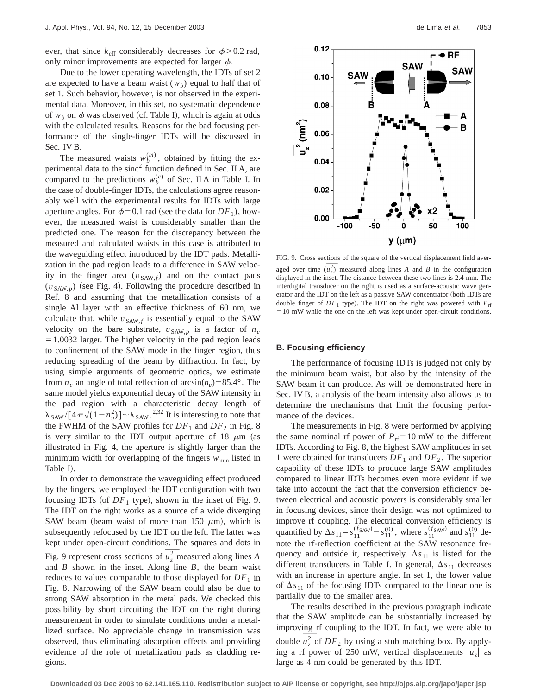ever, that since  $k_{\text{eff}}$  considerably decreases for  $\phi$ >0.2 rad, only minor improvements are expected for larger  $\phi$ .

Due to the lower operating wavelength, the IDTs of set 2 are expected to have a beam waist  $(w_h)$  equal to half that of set 1. Such behavior, however, is not observed in the experimental data. Moreover, in this set, no systematic dependence of  $w_b$  on  $\phi$  was observed (cf. Table I), which is again at odds with the calculated results. Reasons for the bad focusing performance of the single-finger IDTs will be discussed in Sec. IV B.

The measured waists  $w_b^{(m)}$ , obtained by fitting the experimental data to the  $\text{sinc}^2$  function defined in Sec. II A, are compared to the predictions  $w_b^{(c)}$  of Sec. II A in Table I. In the case of double-finger IDTs, the calculations agree reasonably well with the experimental results for IDTs with large aperture angles. For  $\phi$ =0.1 rad (see the data for *DF*<sub>1</sub>), however, the measured waist is considerably smaller than the predicted one. The reason for the discrepancy between the measured and calculated waists in this case is attributed to the waveguiding effect introduced by the IDT pads. Metallization in the pad region leads to a difference in SAW velocity in the finger area  $(v_{SAW,f})$  and on the contact pads  $(v_{SAW,p})$  (see Fig. 4). Following the procedure described in Ref. 8 and assuming that the metallization consists of a single Al layer with an effective thickness of 60 nm, we calculate that, while  $v_{SAW, f}$  is essentially equal to the SAW velocity on the bare substrate,  $v_{\text{SAW},p}$  is a factor of  $n_v$  $=1.0032$  larger. The higher velocity in the pad region leads to confinement of the SAW mode in the finger region, thus reducing spreading of the beam by diffraction. In fact, by using simple arguments of geometric optics, we estimate from  $n<sub>v</sub>$  an angle of total reflection of  $arcsin(n<sub>v</sub>)=85.4^{\circ}$ . The same model yields exponential decay of the SAW intensity in the pad region with a characteristic decay length of  $\lambda_{\text{SAW}}/[4\pi\sqrt{(1-n_v^2)}]$  ~  $\lambda_{\text{SAW}}$ .<sup>2,32</sup> It is interesting to note that the FWHM of the SAW profiles for  $DF_1$  and  $DF_2$  in Fig. 8 is very similar to the IDT output aperture of 18  $\mu$ m (as illustrated in Fig. 4, the aperture is slightly larger than the minimum width for overlapping of the fingers  $w_{\text{min}}$  listed in Table I).

In order to demonstrate the waveguiding effect produced by the fingers, we employed the IDT configuration with two focusing IDTs (of  $DF_1$  type), shown in the inset of Fig. 9. The IDT on the right works as a source of a wide diverging SAW beam (beam waist of more than 150  $\mu$ m), which is subsequently refocused by the IDT on the left. The latter was kept under open-circuit conditions. The squares and dots in Fig. 9 represent cross sections of  $\overline{u_7^2}$  measured along lines *A* and *B* shown in the inset. Along line *B*, the beam waist reduces to values comparable to those displayed for  $DF_1$  in Fig. 8. Narrowing of the SAW beam could also be due to strong SAW absorption in the metal pads. We checked this possibility by short circuiting the IDT on the right during measurement in order to simulate conditions under a metallized surface. No appreciable change in transmission was observed, thus eliminating absorption effects and providing evidence of the role of metallization pads as cladding regions.



FIG. 9. Cross sections of the square of the vertical displacement field aver-FIG. 9. Cross sections of the square of the vertical displacement field averaged over time  $(\overline{u_z^2})$  measured along lines *A* and *B* in the configuration displayed in the inset. The distance between these two lines is 2.4 mm. The interdigital transducer on the right is used as a surface-acoustic wave generator and the IDT on the left as a passive SAW concentrator (both IDTs are double finger of  $DF_1$  type). The IDT on the right was powered with  $P_{\text{rf}}$  $=10$  mW while the one on the left was kept under open-circuit conditions.

## **B. Focusing efficiency**

The performance of focusing IDTs is judged not only by the minimum beam waist, but also by the intensity of the SAW beam it can produce. As will be demonstrated here in Sec. IV B, a analysis of the beam intensity also allows us to determine the mechanisms that limit the focusing performance of the devices.

The measurements in Fig. 8 were performed by applying the same nominal rf power of  $P_{\text{rf}}=10$  mW to the different IDTs. According to Fig. 8, the highest SAW amplitudes in set 1 were obtained for transducers *DF*<sup>1</sup> and *DF*<sup>2</sup> . The superior capability of these IDTs to produce large SAW amplitudes compared to linear IDTs becomes even more evident if we take into account the fact that the conversion efficiency between electrical and acoustic powers is considerably smaller in focusing devices, since their design was not optimized to improve rf coupling. The electrical conversion efficiency is quantified by  $\Delta s_{11} = s_{11}^{(f_{SAW})} - s_{11}^{(0)}$ , where  $s_{11}^{(f_{SAW})}$  and  $s_{11}^{(0)}$  denote the rf-reflection coefficient at the SAW resonance frequency and outside it, respectively.  $\Delta s_{11}$  is listed for the different transducers in Table I. In general,  $\Delta s_{11}$  decreases with an increase in aperture angle. In set 1, the lower value of  $\Delta s_{11}$  of the focusing IDTs compared to the linear one is partially due to the smaller area.

The results described in the previous paragraph indicate that the SAW amplitude can be substantially increased by improving rf coupling to the IDT. In fact, we were able to double  $u^2$  of  $DF_2$  by using a stub matching box. By applying a rf power of 250 mW, vertical displacements  $|u_z|$  as large as 4 nm could be generated by this IDT.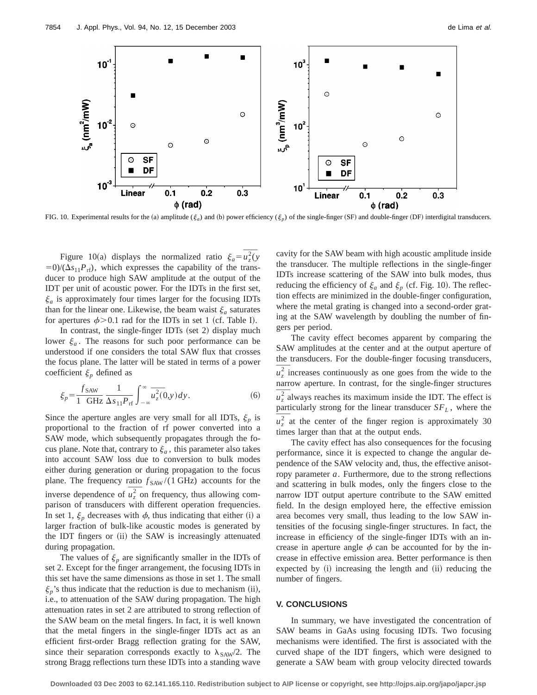

FIG. 10. Experimental results for the (a) amplitude ( $\xi_a$ ) and (b) power efficiency ( $\xi_p$ ) of the single-finger (SF) and double-finger (DF) interdigital transducers.

Figure 10(a) displays the normalized ratio  $\xi_a = \overline{u}_z^2(y)$  $\frac{50}{(\Delta s_{11}P_{\text{rf}})}$ , which expresses the capability of the transducer to produce high SAW amplitude at the output of the IDT per unit of acoustic power. For the IDTs in the first set,  $\xi_a$  is approximately four times larger for the focusing IDTs than for the linear one. Likewise, the beam waist  $\xi_a$  saturates for apertures  $\phi > 0.1$  rad for the IDTs in set 1 (cf. Table I).

In contrast, the single-finger IDTs (set 2) display much lower  $\xi_a$ . The reasons for such poor performance can be understood if one considers the total SAW flux that crosses the focus plane. The latter will be stated in terms of a power coefficient  $\xi_p$  defined as

$$
\xi_p = \frac{f_{SAW}}{1 \text{ GHz}} \frac{1}{\Delta s_{11} P_{\text{rf}}} \int_{-\infty}^{\infty} \overline{u_z^2}(0, y) dy. \tag{6}
$$

Since the aperture angles are very small for all IDTs,  $\xi_p$  is proportional to the fraction of rf power converted into a SAW mode, which subsequently propagates through the focus plane. Note that, contrary to  $\xi_a$ , this parameter also takes into account SAW loss due to conversion to bulk modes either during generation or during propagation to the focus plane. The frequency ratio  $f_{SAW}/(1 \text{ GHz})$  accounts for the inverse dependence of  $u^2$  on frequency, thus allowing comparison of transducers with different operation frequencies. In set 1,  $\xi_p$  decreases with  $\phi$ , thus indicating that either (i) a larger fraction of bulk-like acoustic modes is generated by the IDT fingers or (ii) the SAW is increasingly attenuated during propagation.

The values of  $\xi_p$  are significantly smaller in the IDTs of set 2. Except for the finger arrangement, the focusing IDTs in this set have the same dimensions as those in set 1. The small  $\xi_p$ 's thus indicate that the reduction is due to mechanism (ii), i.e., to attenuation of the SAW during propagation. The high attenuation rates in set 2 are attributed to strong reflection of the SAW beam on the metal fingers. In fact, it is well known that the metal fingers in the single-finger IDTs act as an efficient first-order Bragg reflection grating for the SAW, since their separation corresponds exactly to  $\lambda_{SAW}/2$ . The strong Bragg reflections turn these IDTs into a standing wave cavity for the SAW beam with high acoustic amplitude inside the transducer. The multiple reflections in the single-finger IDTs increase scattering of the SAW into bulk modes, thus reducing the efficiency of  $\xi_a$  and  $\xi_p$  (cf. Fig. 10). The reflection effects are minimized in the double-finger configuration, where the metal grating is changed into a second-order grating at the SAW wavelength by doubling the number of fingers per period.

The cavity effect becomes apparent by comparing the SAW amplitudes at the center and at the output aperture of the transducers. For the double-finger focusing transducers,  $u<sub>z</sub><sup>2</sup>$  increases continuously as one goes from the wide to the narrow aperture. In contrast, for the single-finger structures  $u<sub>z</sub><sup>2</sup>$  always reaches its maximum inside the IDT. The effect is particularly strong for the linear transducer  $SF<sub>L</sub>$ , where the  $u<sub>z</sub><sup>2</sup>$  at the center of the finger region is approximately 30 times larger than that at the output ends.

The cavity effect has also consequences for the focusing performance, since it is expected to change the angular dependence of the SAW velocity and, thus, the effective anisotropy parameter *a*. Furthermore, due to the strong reflections and scattering in bulk modes, only the fingers close to the narrow IDT output aperture contribute to the SAW emitted field. In the design employed here, the effective emission area becomes very small, thus leading to the low SAW intensities of the focusing single-finger structures. In fact, the increase in efficiency of the single-finger IDTs with an increase in aperture angle  $\phi$  can be accounted for by the increase in effective emission area. Better performance is then expected by  $(i)$  increasing the length and  $(ii)$  reducing the number of fingers.

#### **V. CONCLUSIONS**

In summary, we have investigated the concentration of SAW beams in GaAs using focusing IDTs. Two focusing mechanisms were identified. The first is associated with the curved shape of the IDT fingers, which were designed to generate a SAW beam with group velocity directed towards